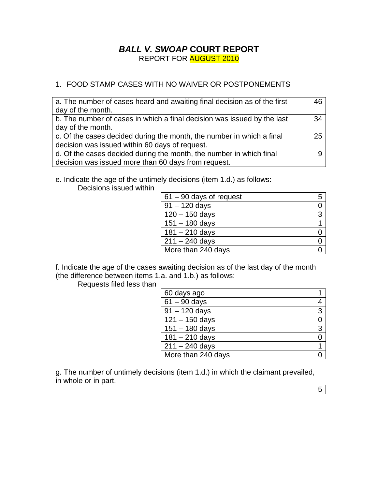### *BALL V. SWOAP* **COURT REPORT** REPORT FOR AUGUST 2010

### 1. FOOD STAMP CASES WITH NO WAIVER OR POSTPONEMENTS

| a. The number of cases heard and awaiting final decision as of the first<br>day of the month. | 46 |
|-----------------------------------------------------------------------------------------------|----|
| b. The number of cases in which a final decision was issued by the last                       | 34 |
| day of the month.                                                                             |    |
| c. Of the cases decided during the month, the number in which a final                         | 25 |
| decision was issued within 60 days of request.                                                |    |
| d. Of the cases decided during the month, the number in which final                           |    |
| decision was issued more than 60 days from request.                                           |    |

e. Indicate the age of the untimely decisions (item 1.d.) as follows:

Decisions issued within

| $61 - 90$ days of request | 5 |
|---------------------------|---|
| $91 - 120$ days           |   |
| $120 - 150$ days          | 3 |
| $151 - 180$ days          |   |
| $181 - 210$ days          |   |
| $211 - 240$ days          |   |
| More than 240 days        |   |

f. Indicate the age of the cases awaiting decision as of the last day of the month (the difference between items 1.a. and 1.b.) as follows:

Requests filed less than

| 60 days ago        |   |
|--------------------|---|
| $61 - 90$ days     |   |
| $91 - 120$ days    | 3 |
| $121 - 150$ days   | 0 |
| $151 - 180$ days   | 3 |
| $181 - 210$ days   |   |
| $211 - 240$ days   |   |
| More than 240 days |   |

g. The number of untimely decisions (item 1.d.) in which the claimant prevailed, in whole or in part.

5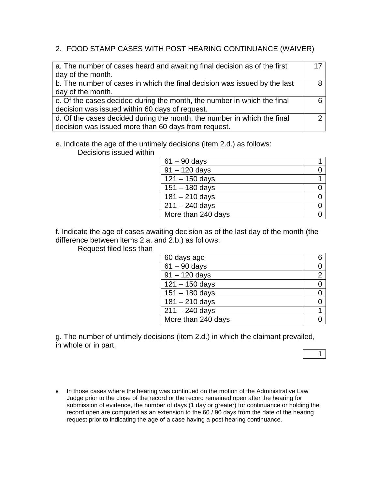### 2. FOOD STAMP CASES WITH POST HEARING CONTINUANCE (WAIVER)

| a. The number of cases heard and awaiting final decision as of the first  | 17 |
|---------------------------------------------------------------------------|----|
| day of the month.                                                         |    |
| b. The number of cases in which the final decision was issued by the last |    |
| day of the month.                                                         |    |
| c. Of the cases decided during the month, the number in which the final   |    |
| decision was issued within 60 days of request.                            |    |
| d. Of the cases decided during the month, the number in which the final   |    |
| decision was issued more than 60 days from request.                       |    |

e. Indicate the age of the untimely decisions (item 2.d.) as follows:

Decisions issued within

| $61 - 90$ days     |  |
|--------------------|--|
| $91 - 120$ days    |  |
| $121 - 150$ days   |  |
| $151 - 180$ days   |  |
| $181 - 210$ days   |  |
| $211 - 240$ days   |  |
| More than 240 days |  |

f. Indicate the age of cases awaiting decision as of the last day of the month (the difference between items 2.a. and 2.b.) as follows:

Request filed less than

| 60 days ago        | 6              |
|--------------------|----------------|
| $61 - 90$ days     |                |
| $91 - 120$ days    | $\overline{2}$ |
| $121 - 150$ days   |                |
| $151 - 180$ days   | 0              |
| $181 - 210$ days   |                |
| $211 - 240$ days   |                |
| More than 240 days |                |

g. The number of untimely decisions (item 2.d.) in which the claimant prevailed, in whole or in part.

1

• In those cases where the hearing was continued on the motion of the Administrative Law Judge prior to the close of the record or the record remained open after the hearing for submission of evidence, the number of days (1 day or greater) for continuance or holding the record open are computed as an extension to the 60 / 90 days from the date of the hearing request prior to indicating the age of a case having a post hearing continuance.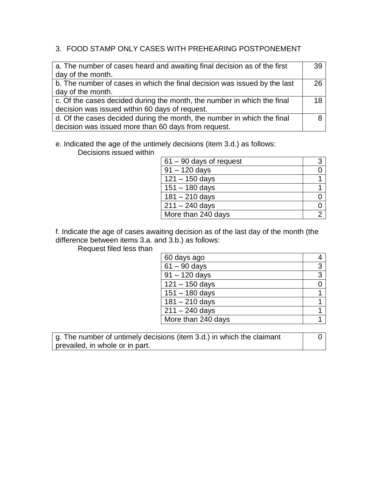### 3. FOOD STAMP ONLY CASES WITH PREHEARING POSTPONEMENT

| a. The number of cases heard and awaiting final decision as of the first  | 39 |
|---------------------------------------------------------------------------|----|
| day of the month.                                                         |    |
| b. The number of cases in which the final decision was issued by the last | 26 |
| day of the month.                                                         |    |
| c. Of the cases decided during the month, the number in which the final   | 18 |
| decision was issued within 60 days of request.                            |    |
| d. Of the cases decided during the month, the number in which the final   |    |
| decision was issued more than 60 days from request.                       |    |

# e. Indicated the age of the untimely decisions (item 3.d.) as follows:

Decisions issued within

| $61 - 90$ days of request |  |
|---------------------------|--|
| $91 - 120$ days           |  |
| $121 - 150$ days          |  |
| $151 - 180$ days          |  |
| $181 - 210$ days          |  |
| $211 - 240$ days          |  |
| More than 240 days        |  |

f. Indicate the age of cases awaiting decision as of the last day of the month (the difference between items 3.a. and 3.b.) as follows:

Request filed less than

| 60 days ago        |   |
|--------------------|---|
| $61 - 90$ days     | 3 |
| $91 - 120$ days    | 3 |
| $121 - 150$ days   |   |
| $151 - 180$ days   |   |
| $181 - 210$ days   |   |
| $211 - 240$ days   |   |
| More than 240 days |   |

g. The number of untimely decisions (item 3.d.) in which the claimant prevailed, in whole or in part.

0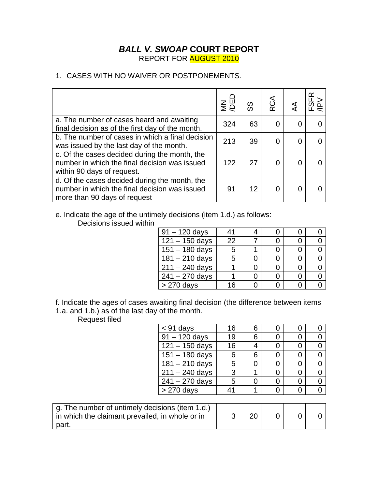### *BALL V. SWOAP* **COURT REPORT** REPORT FOR AUGUST 2010

### 1. CASES WITH NO WAIVER OR POSTPONEMENTS.

|                                                                                                                                | $\leq$ | တ္တ | RCA |   | ≃ |
|--------------------------------------------------------------------------------------------------------------------------------|--------|-----|-----|---|---|
| a. The number of cases heard and awaiting<br>final decision as of the first day of the month.                                  | 324    | 63  |     |   |   |
| b. The number of cases in which a final decision<br>was issued by the last day of the month.                                   | 213    | 39  |     | 0 |   |
| c. Of the cases decided during the month, the<br>number in which the final decision was issued<br>within 90 days of request.   | 122    | 27  |     |   |   |
| d. Of the cases decided during the month, the<br>number in which the final decision was issued<br>more than 90 days of request | 91     | 12  |     |   |   |

e. Indicate the age of the untimely decisions (item 1.d.) as follows:

Decisions issued within

| $91 - 120$ days             | 41  |  |  |
|-----------------------------|-----|--|--|
| $\overline{121} - 150$ days | 22  |  |  |
| $151 - 180$ days            | 5   |  |  |
| $181 - 210$ days            | 5   |  |  |
| $211 - 240$ days            |     |  |  |
| $241 - 270$ days            |     |  |  |
| $> 270$ days                | 1 ឝ |  |  |

f. Indicate the ages of cases awaiting final decision (the difference between items 1.a. and 1.b.) as of the last day of the month.

Request filed

part.

| <b>Neddest Illed</b>                            |                  |    |    |   |                |
|-------------------------------------------------|------------------|----|----|---|----------------|
|                                                 | $<$ 91 days      | 16 | 6  | O | 0              |
|                                                 | $91 - 120$ days  | 19 | 6  |   | 0              |
|                                                 | $121 - 150$ days | 16 | 4  | 0 | $\overline{0}$ |
|                                                 | $151 - 180$ days | 6  | 6  | 0 | $\overline{0}$ |
|                                                 | $181 - 210$ days | 5  | 0  | 0 | 0              |
|                                                 | $211 - 240$ days | 3  |    | 0 | $\overline{0}$ |
|                                                 | $241 - 270$ days | 5  | 0  | 0 | $\overline{0}$ |
|                                                 | $> 270$ days     | 41 |    | 0 | $\overline{0}$ |
|                                                 |                  |    |    |   |                |
| g. The number of untimely decisions (item 1.d.) |                  |    |    |   |                |
| in which the claimant prevailed, in whole or in |                  | 3  | 20 |   |                |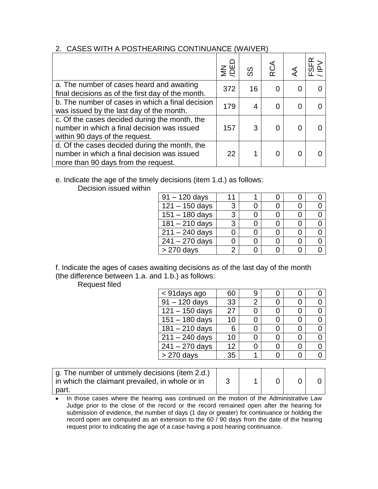#### 2. CASES WITH A POSTHEARING CONTINUANCE (WAIVER)

|                                                                                                                                     | $rac{1}{2}$ | တ္တ | RCA |  |
|-------------------------------------------------------------------------------------------------------------------------------------|-------------|-----|-----|--|
| a. The number of cases heard and awaiting<br>final decisions as of the first day of the month.                                      | 372         | 16  |     |  |
| b. The number of cases in which a final decision<br>was issued by the last day of the month.                                        | 179         |     |     |  |
| c. Of the cases decided during the month, the<br>number in which a final decision was issued<br>within 90 days of the request.      | 157         |     |     |  |
| d. Of the cases decided during the month, the<br>number in which a final decision was issued<br>more than 90 days from the request. | 22          |     |     |  |

## e. Indicate the age of the timely decisions (item 1.d.) as follows:

Decision issued within

| $91 - 120$ days  | 11            |  |  |
|------------------|---------------|--|--|
| $121 - 150$ days | 3             |  |  |
| $151 - 180$ days | 3             |  |  |
| $181 - 210$ days | 3             |  |  |
| $211 - 240$ days |               |  |  |
| $241 - 270$ days |               |  |  |
| $> 270$ days     | $\mathcal{P}$ |  |  |

f. Indicate the ages of cases awaiting decisions as of the last day of the month (the difference between 1.a. and 1.b.) as follows:

Request filed

| < 91 days ago               | 60 |   |  |  |
|-----------------------------|----|---|--|--|
| $91 - 120$ days             | 33 | 2 |  |  |
| $121 - 150$ days            | 27 |   |  |  |
| $151 - 180$ days            | 10 |   |  |  |
| $181 - 210$ days            | 6  |   |  |  |
| $211 - 240$ days            | 10 |   |  |  |
| $\overline{241} - 270$ days | 12 |   |  |  |
| > 270 days                  | 35 |   |  |  |

| g. The number of untimely decisions (item 2.d.)<br>in which the claimant prevailed, in whole or in |  |  |  |
|----------------------------------------------------------------------------------------------------|--|--|--|
| part.                                                                                              |  |  |  |

• In those cases where the hearing was continued on the motion of the Administrative Law Judge prior to the close of the record or the record remained open after the hearing for submission of evidence, the number of days (1 day or greater) for continuance or holding the record open are computed as an extension to the 60 / 90 days from the date of the hearing request prior to indicating the age of a case having a post hearing continuance.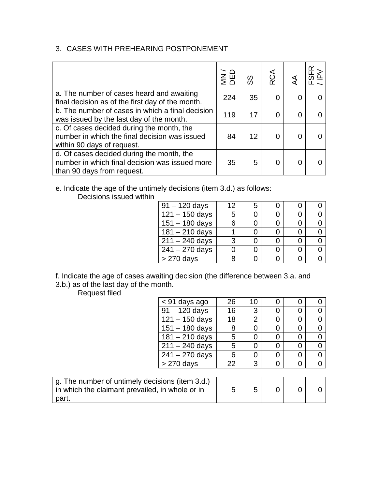## 3. CASES WITH PREHEARING POSTPONEMENT

|                                                                                                                           | $\n  5$ $\overline{E}$ | တ္တ | RCA |   |  |
|---------------------------------------------------------------------------------------------------------------------------|------------------------|-----|-----|---|--|
| a. The number of cases heard and awaiting<br>final decision as of the first day of the month.                             | 224                    | 35  |     |   |  |
| b. The number of cases in which a final decision<br>was issued by the last day of the month.                              | 119                    | 17  |     | 0 |  |
| c. Of cases decided during the month, the<br>number in which the final decision was issued<br>within 90 days of request.  | 84                     | 12  |     |   |  |
| d. Of cases decided during the month, the<br>number in which final decision was issued more<br>than 90 days from request. | 35                     | 5   |     |   |  |

e. Indicate the age of the untimely decisions (item 3.d.) as follows: Decisions issued within

| $91 - 120$ days             | $12 \overline{ }$ | 5 |  |  |
|-----------------------------|-------------------|---|--|--|
| $\sqrt{121} - 150$ days     | 5                 |   |  |  |
| $151 - 180$ days            | 6                 |   |  |  |
| $181 - 210$ days            |                   |   |  |  |
| $\overline{2}11 - 240$ days | 3                 |   |  |  |
| $241 - 270$ days            |                   |   |  |  |
|                             | R                 |   |  |  |
| > 270 days                  |                   |   |  |  |

f. Indicate the age of cases awaiting decision (the difference between 3.a. and 3.b.) as of the last day of the month.

Request filed

| < 91 days ago              | 26 | 10             |   |  |
|----------------------------|----|----------------|---|--|
| $91 - 120$ days            | 16 | 3              | 0 |  |
| $121 - 150$ days           | 18 | $\overline{2}$ | 0 |  |
| $151 - 180$ days           | 8  |                | Ω |  |
| $181 - 210$ days           | 5  |                | 0 |  |
| $211 - 240$ days           | 5  |                |   |  |
| $241 - 270$ days           | 6  |                | 0 |  |
| $> 270$ days               | 22 | 3              |   |  |
|                            |    |                |   |  |
| المثامية المعارية والمتحدد |    |                |   |  |

| g. The number of untimely decisions (item 3.d.)<br>in which the claimant prevailed, in whole or in |  |  |  |
|----------------------------------------------------------------------------------------------------|--|--|--|
| part.                                                                                              |  |  |  |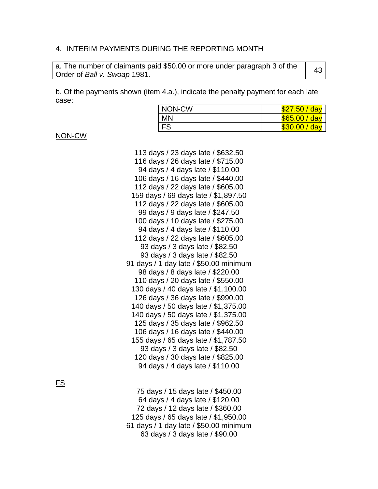#### 4. INTERIM PAYMENTS DURING THE REPORTING MONTH

| a. The number of claimants paid \$50.00 or more under paragraph 3 of the | 43 |
|--------------------------------------------------------------------------|----|
| Order of Ball v. Swoap 1981.                                             |    |

b. Of the payments shown (item 4.a.), indicate the penalty payment for each late case:

| NON-CW    | <mark>7.50 / day</mark> |
|-----------|-------------------------|
| <b>MN</b> | \$65.00 / day           |
| <b>FS</b> | \$30.00 / day           |

NON-CW

 days / 23 days late / \$632.50 days / 26 days late / \$715.00 days / 4 days late / \$110.00 days / 16 days late / \$440.00 days / 22 days late / \$605.00 days / 69 days late / \$1,897.50 days / 22 days late / \$605.00 days / 9 days late / \$247.50 days / 10 days late / \$275.00 days / 4 days late / \$110.00 days / 22 days late / \$605.00 93 days / 3 days late / \$82.50 days / 3 days late / \$82.50 days / 1 day late / \$50.00 minimum days / 8 days late / \$220.00 days / 20 days late / \$550.00 days / 40 days late / \$1,100.00 days / 36 days late / \$990.00 days / 50 days late / \$1,375.00 days / 50 days late / \$1,375.00 days / 35 days late / \$962.50 days / 16 days late / \$440.00 days / 65 days late / \$1,787.50 days / 3 days late / \$82.50 days / 30 days late / \$825.00 days / 4 days late / \$110.00

FS

 days / 15 days late / \$450.00 days / 4 days late / \$120.00 days / 12 days late / \$360.00 days / 65 days late / \$1,950.00 days / 1 day late / \$50.00 minimum days / 3 days late / \$90.00